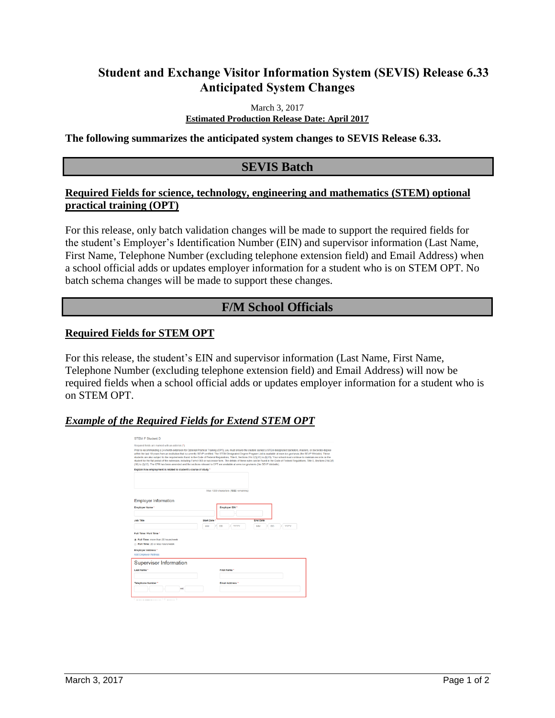# **Student and Exchange Visitor Information System (SEVIS) Release 6.33 Anticipated System Changes**

March 3, 2017

**Estimated Production Release Date: April 2017** 

**The following summarizes the anticipated system changes to SEVIS Release 6.33.** 

## **SEVIS Batch**

### **Required Fields for science, technology, engineering and mathematics (STEM) optional practical training (OPT)**

For this release, only batch validation changes will be made to support the required fields for the student's Employer's Identification Number (EIN) and supervisor information (Last Name, First Name, Telephone Number (excluding telephone extension field) and Email Address) when a school official adds or updates employer information for a student who is on STEM OPT. No batch schema changes will be made to support these changes.

# **F/M School Officials**

#### **Required Fields for STEM OPT**

For this release, the student's EIN and supervisor information (Last Name, First Name, Telephone Number (excluding telephone extension field) and Email Address) will now be required fields when a school official adds or updates employer information for a student who is on STEM OPT.

#### *Example of the Required Fields for Extend STEM OPT*

| Required fields are marked with an asterisk (*).                         |                                                                                                                                                                                                                                                                                                                                                                                                                                                                                                                                                                                                                                                                                                                                                                                                                                                                                                      |
|--------------------------------------------------------------------------|------------------------------------------------------------------------------------------------------------------------------------------------------------------------------------------------------------------------------------------------------------------------------------------------------------------------------------------------------------------------------------------------------------------------------------------------------------------------------------------------------------------------------------------------------------------------------------------------------------------------------------------------------------------------------------------------------------------------------------------------------------------------------------------------------------------------------------------------------------------------------------------------------|
|                                                                          | Prior to recommending a 24-month extension for Optional Practical Training (OPT), you must ensure the student earned a STEM designated bachelors, masters, or doctorate degree<br>within the last 10 years from an institution that is currently SEVP certified. The STEM Designated Degree Program List is available at www.ice.gov/sevis (the SEVP Website). These<br>students are also subject to the requirements found in the Code of Federal Regulations. Title 8. Sections 214.2(f)(10) to (f)(13). Your school must continue to maintain records on the<br>student for the full period of the extension, including Form I-983 or successor form. The details of these rules can be found in the Code of Federal Regulations, Title 8, Sections 214.2(f)<br>(10) to (f)(13). The CFR has been amended and the sections relevant to OPT are available at www.ice.gov/sevis (the SEVP Website). |
| Explain how employment is related to student's course of study *         |                                                                                                                                                                                                                                                                                                                                                                                                                                                                                                                                                                                                                                                                                                                                                                                                                                                                                                      |
|                                                                          |                                                                                                                                                                                                                                                                                                                                                                                                                                                                                                                                                                                                                                                                                                                                                                                                                                                                                                      |
|                                                                          | Max 1000 characters (1000 remaining)                                                                                                                                                                                                                                                                                                                                                                                                                                                                                                                                                                                                                                                                                                                                                                                                                                                                 |
|                                                                          |                                                                                                                                                                                                                                                                                                                                                                                                                                                                                                                                                                                                                                                                                                                                                                                                                                                                                                      |
| <b>Employer Information</b>                                              |                                                                                                                                                                                                                                                                                                                                                                                                                                                                                                                                                                                                                                                                                                                                                                                                                                                                                                      |
| Employer Name *                                                          | <b>Employer EIN *</b>                                                                                                                                                                                                                                                                                                                                                                                                                                                                                                                                                                                                                                                                                                                                                                                                                                                                                |
|                                                                          |                                                                                                                                                                                                                                                                                                                                                                                                                                                                                                                                                                                                                                                                                                                                                                                                                                                                                                      |
| <b>Job Title</b>                                                         | <b>Start Date</b><br><b>End Date</b>                                                                                                                                                                                                                                                                                                                                                                                                                                                                                                                                                                                                                                                                                                                                                                                                                                                                 |
|                                                                          |                                                                                                                                                                                                                                                                                                                                                                                                                                                                                                                                                                                                                                                                                                                                                                                                                                                                                                      |
|                                                                          | MM<br>D <sub>D</sub><br><b>YYYY</b><br>MM<br><b>DD</b><br><b>YYYY</b>                                                                                                                                                                                                                                                                                                                                                                                                                                                                                                                                                                                                                                                                                                                                                                                                                                |
| Full Time / Part Time *                                                  |                                                                                                                                                                                                                                                                                                                                                                                                                                                                                                                                                                                                                                                                                                                                                                                                                                                                                                      |
|                                                                          |                                                                                                                                                                                                                                                                                                                                                                                                                                                                                                                                                                                                                                                                                                                                                                                                                                                                                                      |
| @ Full Time: more than 20 hours/week<br>Part Time: 20 or less hours/week |                                                                                                                                                                                                                                                                                                                                                                                                                                                                                                                                                                                                                                                                                                                                                                                                                                                                                                      |
|                                                                          |                                                                                                                                                                                                                                                                                                                                                                                                                                                                                                                                                                                                                                                                                                                                                                                                                                                                                                      |
| Employer Address *<br>Add Employer Address                               |                                                                                                                                                                                                                                                                                                                                                                                                                                                                                                                                                                                                                                                                                                                                                                                                                                                                                                      |
|                                                                          |                                                                                                                                                                                                                                                                                                                                                                                                                                                                                                                                                                                                                                                                                                                                                                                                                                                                                                      |
|                                                                          |                                                                                                                                                                                                                                                                                                                                                                                                                                                                                                                                                                                                                                                                                                                                                                                                                                                                                                      |
| <b>Supervisor Information</b><br>Last Name *                             | First Name *                                                                                                                                                                                                                                                                                                                                                                                                                                                                                                                                                                                                                                                                                                                                                                                                                                                                                         |
|                                                                          |                                                                                                                                                                                                                                                                                                                                                                                                                                                                                                                                                                                                                                                                                                                                                                                                                                                                                                      |
| Telephone Number*                                                        | Email Address *                                                                                                                                                                                                                                                                                                                                                                                                                                                                                                                                                                                                                                                                                                                                                                                                                                                                                      |